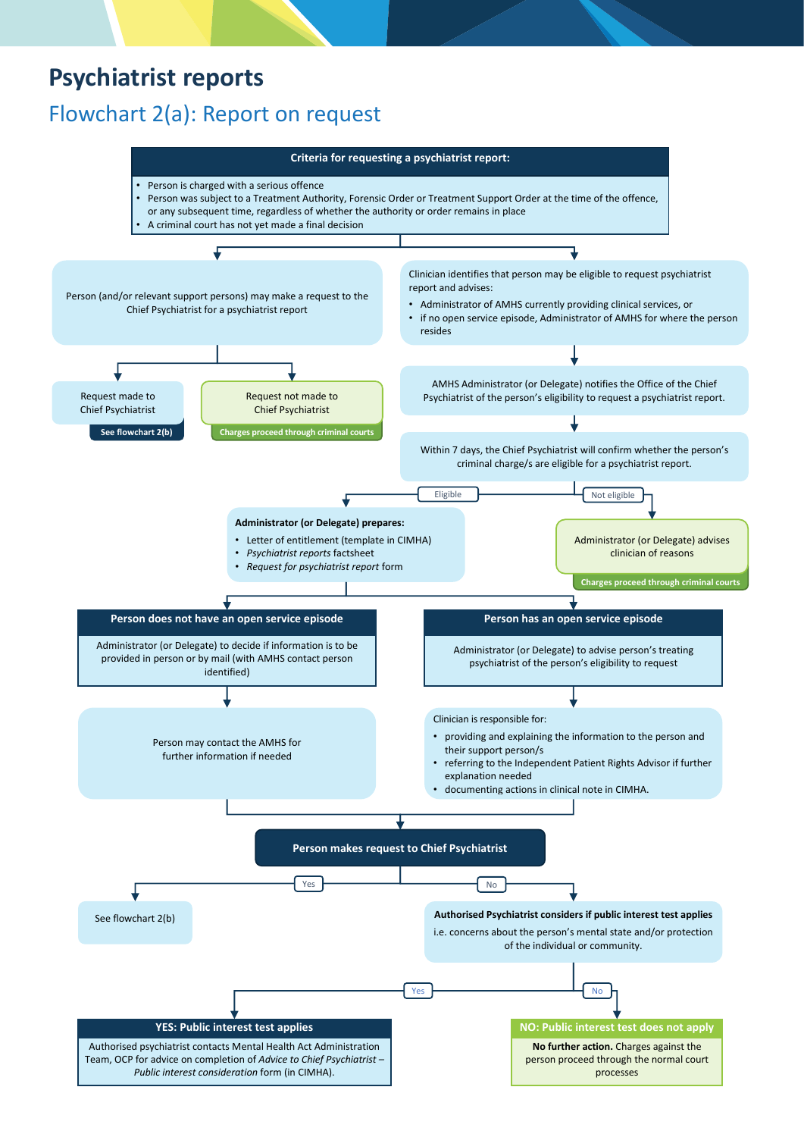# **Psychiatrist reports**

## Flowchart 2(a): Report on request